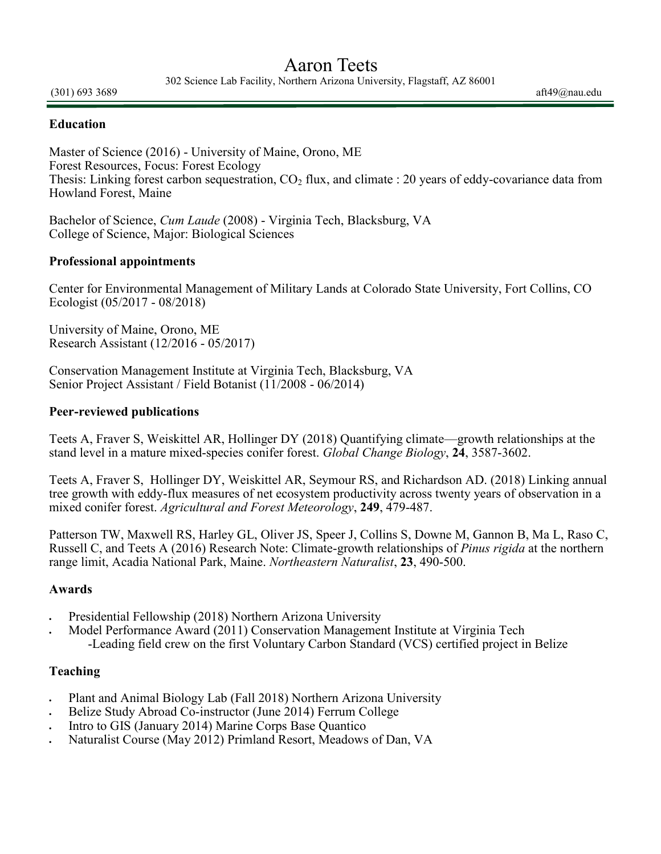# Aaron Teets

302 Science Lab Facility, Northern Arizona University, Flagstaff, AZ 86001

 $(301)$  693 3689 aft49 $@$ nau.edu

#### **Education**

Master of Science (2016) - University of Maine, Orono, ME Forest Resources, Focus: Forest Ecology Thesis: Linking forest carbon sequestration,  $CO<sub>2</sub>$  flux, and climate : 20 years of eddy-covariance data from Howland Forest, Maine

Bachelor of Science, *Cum Laude* (2008) - Virginia Tech, Blacksburg, VA College of Science, Major: Biological Sciences

#### **Professional appointments**

Center for Environmental Management of Military Lands at Colorado State University, Fort Collins, CO Ecologist (05/2017 - 08/2018)

University of Maine, Orono, ME Research Assistant (12/2016 - 05/2017)

Conservation Management Institute at Virginia Tech, Blacksburg, VA Senior Project Assistant / Field Botanist (11/2008 - 06/2014)

#### **Peer-reviewed publications**

Teets A, Fraver S, Weiskittel AR, Hollinger DY (2018) Quantifying climate—growth relationships at the stand level in a mature mixed-species conifer forest. *Global Change Biology*, **24**, 3587-3602.

Teets A, Fraver S, Hollinger DY, Weiskittel AR, Seymour RS, and Richardson AD. (2018) Linking annual tree growth with eddy-flux measures of net ecosystem productivity across twenty years of observation in a mixed conifer forest. *Agricultural and Forest Meteorology*, **249**, 479-487.

Patterson TW, Maxwell RS, Harley GL, Oliver JS, Speer J, Collins S, Downe M, Gannon B, Ma L, Raso C, Russell C, and Teets A (2016) Research Note: Climate-growth relationships of *Pinus rigida* at the northern range limit, Acadia National Park, Maine. *Northeastern Naturalist*, **23**, 490-500.

#### **Awards**

- Presidential Fellowship (2018) Northern Arizona University
- Model Performance Award (2011) Conservation Management Institute at Virginia Tech -Leading field crew on the first Voluntary Carbon Standard (VCS) certified project in Belize

#### **Teaching**

- Plant and Animal Biology Lab (Fall 2018) Northern Arizona University
- Belize Study Abroad Co-instructor (June 2014) Ferrum College
- Intro to GIS (January 2014) Marine Corps Base Quantico
- Naturalist Course (May 2012) Primland Resort, Meadows of Dan, VA